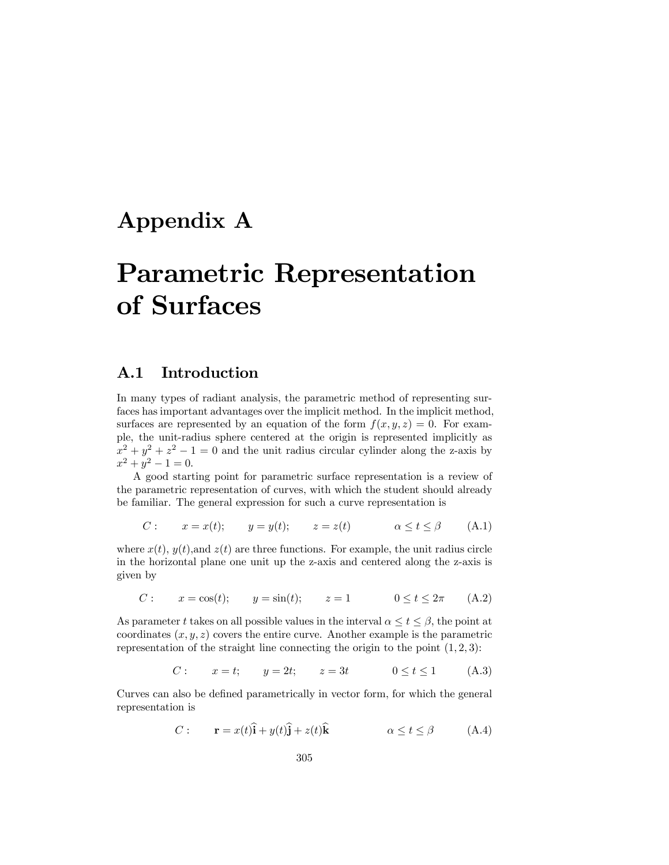## Appendix A

# Parametric Representation of Surfaces

### A.1 Introduction

In many types of radiant analysis, the parametric method of representing surfaces has important advantages over the implicit method. In the implicit method, surfaces are represented by an equation of the form  $f(x, y, z)=0$ . For example, the unit-radius sphere centered at the origin is represented implicitly as  $x^2 + y^2 + z^2 - 1 = 0$  and the unit radius circular cylinder along the z-axis by  $x^2 + y^2 - 1 = 0.$ 

A good starting point for parametric surface representation is a review of the parametric representation of curves, with which the student should already be familiar. The general expression for such a curve representation is

$$
C: \t x = x(t); \t y = y(t); \t z = z(t) \t \alpha \le t \le \beta \t (A.1)
$$

where  $x(t)$ ,  $y(t)$ , and  $z(t)$  are three functions. For example, the unit radius circle in the horizontal plane one unit up the z-axis and centered along the z-axis is given by

C :  $x = \cos(t);$   $y = \sin(t);$   $z = 1$   $0 \le t \le 2\pi$  (A.2)

As parameter t takes on all possible values in the interval  $\alpha \leq t \leq \beta$ , the point at coordinates  $(x, y, z)$  covers the entire curve. Another example is the parametric representation of the straight line connecting the origin to the point  $(1, 2, 3)$ :

*C*: 
$$
x = t
$$
;  $y = 2t$ ;  $z = 3t$   $0 \le t \le 1$  (A.3)

Curves can also be defined parametrically in vector form, for which the general representation is

C : r = x(t)bi + y(t)bj + z(t)kb α ≤ t ≤ β (A.4)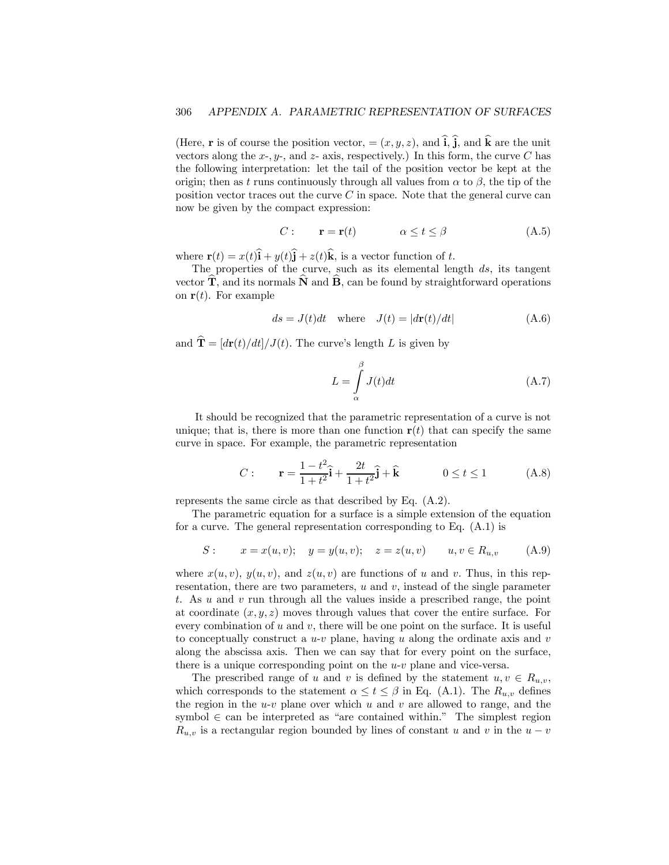(Here, **r** is of course the position vector,  $=(x, y, z)$ , and  $\hat{i}$ ,  $\hat{j}$ , and  $\hat{k}$  are the unit vectors along the x-,  $y$ -, and z- axis, respectively.) In this form, the curve C has the following interpretation: let the tail of the position vector be kept at the origin; then as t runs continuously through all values from  $\alpha$  to  $\beta$ , the tip of the position vector traces out the curve  $C$  in space. Note that the general curve can now be given by the compact expression:

C : r = r(t) α ≤ t ≤ β (A.5)

where  $\mathbf{r}(t) = x(t)\hat{\mathbf{i}} + y(t)\hat{\mathbf{j}} + z(t)\hat{\mathbf{k}}$ , is a vector function of t.

The properties of the curve, such as its elemental length  $ds$ , its tangent vector  $\mathbf{T}$ , and its normals  $\mathbf{N}$  and  $\mathbf{B}$ , can be found by straightforward operations on  $\mathbf{r}(t)$ . For example

$$
ds = J(t)dt \quad \text{where} \quad J(t) = |d\mathbf{r}(t)/dt| \tag{A.6}
$$

and  $\hat{\mathbf{T}} = [d\mathbf{r}(t)/dt]/J(t)$ . The curve's length L is given by

$$
L = \int_{\alpha}^{\beta} J(t)dt
$$
 (A.7)

It should be recognized that the parametric representation of a curve is not unique; that is, there is more than one function  $r(t)$  that can specify the same curve in space. For example, the parametric representation

$$
C: \qquad \mathbf{r} = \frac{1 - t^2}{1 + t^2} \hat{\mathbf{i}} + \frac{2t}{1 + t^2} \hat{\mathbf{j}} + \hat{\mathbf{k}} \qquad \qquad 0 \le t \le 1 \tag{A.8}
$$

represents the same circle as that described by Eq. (A.2).

The parametric equation for a surface is a simple extension of the equation for a curve. The general representation corresponding to Eq. (A.1) is

$$
S: \t x = x(u, v); \t y = y(u, v); \t z = z(u, v) \t u, v \in R_{u,v} \t (A.9)
$$

where  $x(u, v)$ ,  $y(u, v)$ , and  $z(u, v)$  are functions of u and v. Thus, in this representation, there are two parameters,  $u$  and  $v$ , instead of the single parameter t. As u and v run through all the values inside a prescribed range, the point at coordinate  $(x, y, z)$  moves through values that cover the entire surface. For every combination of  $u$  and  $v$ , there will be one point on the surface. It is useful to conceptually construct a  $u-v$  plane, having u along the ordinate axis and v along the abscissa axis. Then we can say that for every point on the surface, there is a unique corresponding point on the  $u$ - $v$  plane and vice-versa.

The prescribed range of u and v is defined by the statement  $u, v \in R_{u,v}$ , which corresponds to the statement  $\alpha \leq t \leq \beta$  in Eq. (A.1). The  $R_{u,v}$  defines the region in the  $u$ -v plane over which u and v are allowed to range, and the symbol  $\in$  can be interpreted as "are contained within." The simplest region  $R_{u,v}$  is a rectangular region bounded by lines of constant u and v in the  $u - v$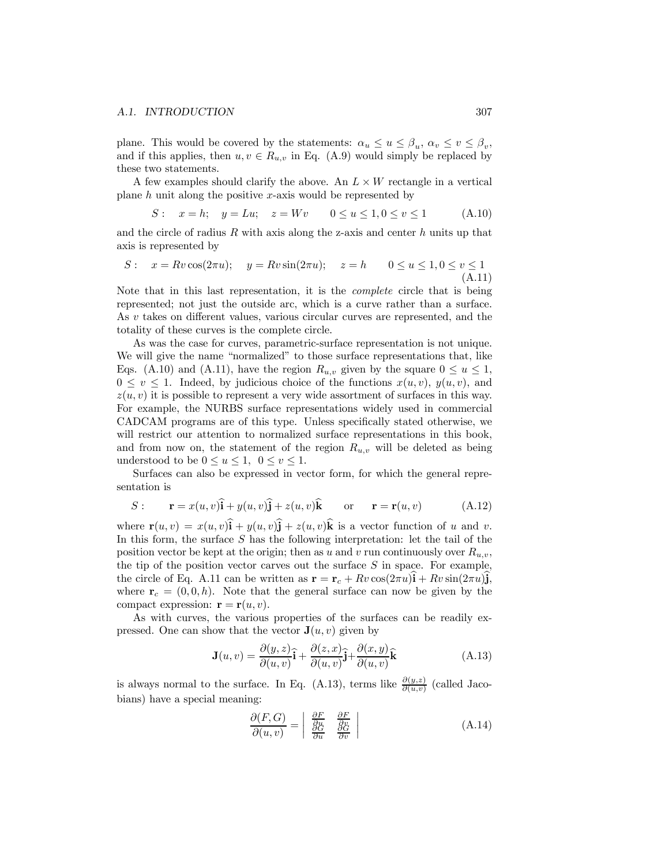plane. This would be covered by the statements:  $\alpha_u \leq u \leq \beta_u$ ,  $\alpha_v \leq v \leq \beta_v$ , and if this applies, then  $u, v \in R_{u,v}$  in Eq. (A.9) would simply be replaced by these two statements.

A few examples should clarify the above. An  $L \times W$  rectangle in a vertical plane h unit along the positive x-axis would be represented by

$$
S: \quad x = h; \quad y = Lu; \quad z = Wv \qquad 0 \le u \le 1, 0 \le v \le 1 \tag{A.10}
$$

and the circle of radius  $R$  with axis along the z-axis and center  $h$  units up that axis is represented by

$$
S: \quad x = Rv \cos(2\pi u); \quad y = Rv \sin(2\pi u); \quad z = h \qquad 0 \le u \le 1, 0 \le v \le 1
$$
\n
$$
(A.11)
$$

Note that in this last representation, it is the complete circle that is being represented; not just the outside arc, which is a curve rather than a surface. As v takes on different values, various circular curves are represented, and the totality of these curves is the complete circle.

As was the case for curves, parametric-surface representation is not unique. We will give the name "normalized" to those surface representations that, like Eqs. (A.10) and (A.11), have the region  $R_{u,v}$  given by the square  $0 \le u \le 1$ ,  $0 \leq v \leq 1$ . Indeed, by judicious choice of the functions  $x(u, v)$ ,  $y(u, v)$ , and  $z(u, v)$  it is possible to represent a very wide assortment of surfaces in this way. For example, the NURBS surface representations widely used in commercial CADCAM programs are of this type. Unless specifically stated otherwise, we will restrict our attention to normalized surface representations in this book, and from now on, the statement of the region  $R_{u,v}$  will be deleted as being understood to be  $0 \le u \le 1$ ,  $0 \le v \le 1$ .

Surfaces can also be expressed in vector form, for which the general representation is

$$
S: \t\mathbf{r} = x(u, v)\hat{\mathbf{i}} + y(u, v)\hat{\mathbf{j}} + z(u, v)\hat{\mathbf{k}} \t\mathbf{or} \t\mathbf{r} = \mathbf{r}(u, v) \t(A.12)
$$

where  $\mathbf{r}(u, v) = x(u, v)\hat{\mathbf{i}} + y(u, v)\hat{\mathbf{j}} + z(u, v)\hat{\mathbf{k}}$  is a vector function of u and v. In this form, the surface  $S$  has the following interpretation: let the tail of the position vector be kept at the origin; then as u and v run continuously over  $R_{u,v}$ , the tip of the position vector carves out the surface  $S$  in space. For example, the circle of Eq. A.11 can be written as  $\mathbf{r} = \mathbf{r}_c + Rv \cos(2\pi u)\mathbf{i} + Rv \sin(2\pi u)\mathbf{j}$ , where  $\mathbf{r}_c = (0, 0, h)$ . Note that the general surface can now be given by the compact expression:  $\mathbf{r} = \mathbf{r}(u, v)$ .

As with curves, the various properties of the surfaces can be readily expressed. One can show that the vector  $\mathbf{J}(u, v)$  given by

$$
\mathbf{J}(u,v) = \frac{\partial(y,z)}{\partial(u,v)}\mathbf{\hat{i}} + \frac{\partial(z,x)}{\partial(u,v)}\mathbf{\hat{j}} + \frac{\partial(x,y)}{\partial(u,v)}\mathbf{\hat{k}}
$$
(A.13)

is always normal to the surface. In Eq. (A.13), terms like  $\frac{\partial(y,z)}{\partial(u,v)}$  (called Jacobians) have a special meaning:

$$
\frac{\partial(F,G)}{\partial(u,v)} = \begin{vmatrix} \frac{\partial F}{\partial u} & \frac{\partial F}{\partial v} \\ \frac{\partial G}{\partial u} & \frac{\partial G}{\partial v} \end{vmatrix}
$$
\n(A.14)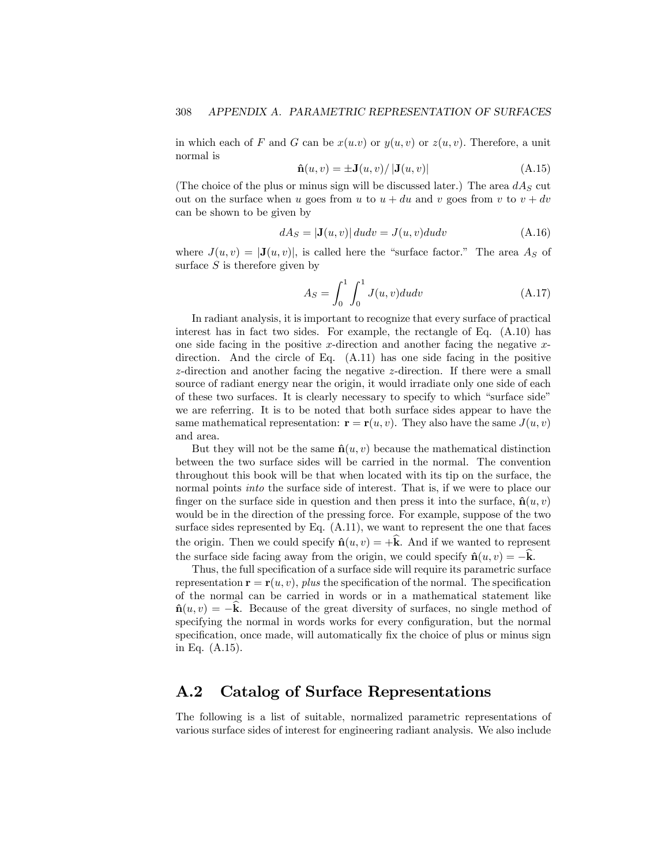in which each of F and G can be  $x(u, v)$  or  $y(u, v)$  or  $z(u, v)$ . Therefore, a unit normal is

$$
\hat{\mathbf{n}}(u,v) = \pm \mathbf{J}(u,v) / |\mathbf{J}(u,v)| \tag{A.15}
$$

(The choice of the plus or minus sign will be discussed later.) The area  $dA<sub>S</sub>$  cut out on the surface when u goes from u to  $u + du$  and v goes from v to  $v + dv$ can be shown to be given by

$$
dA_S = |\mathbf{J}(u, v)| du dv = J(u, v) du dv
$$
 (A.16)

where  $J(u, v) = |J(u, v)|$ , is called here the "surface factor." The area  $A<sub>S</sub>$  of surface  $S$  is therefore given by

$$
A_S = \int_0^1 \int_0^1 J(u, v) du dv
$$
 (A.17)

In radiant analysis, it is important to recognize that every surface of practical interest has in fact two sides. For example, the rectangle of Eq. (A.10) has one side facing in the positive x-direction and another facing the negative  $x$ direction. And the circle of Eq. (A.11) has one side facing in the positive z-direction and another facing the negative z-direction. If there were a small source of radiant energy near the origin, it would irradiate only one side of each of these two surfaces. It is clearly necessary to specify to which "surface side" we are referring. It is to be noted that both surface sides appear to have the same mathematical representation:  $\mathbf{r} = \mathbf{r}(u, v)$ . They also have the same  $J(u, v)$ and area.

But they will not be the same  $\hat{\mathbf{n}}(u, v)$  because the mathematical distinction between the two surface sides will be carried in the normal. The convention throughout this book will be that when located with its tip on the surface, the normal points *into* the surface side of interest. That is, if we were to place our finger on the surface side in question and then press it into the surface,  $\hat{\mathbf{n}}(u, v)$ would be in the direction of the pressing force. For example, suppose of the two surface sides represented by Eq. (A.11), we want to represent the one that faces the origin. Then we could specify  $\hat{\mathbf{n}}(u, v) = +\hat{\mathbf{k}}$ . And if we wanted to represent the surface side facing away from the origin, we could specify  $\hat{\mathbf{n}}(u, v) = -\mathbf{k}$ .

Thus, the full specification of a surface side will require its parametric surface representation  $\mathbf{r} = \mathbf{r}(u, v)$ , plus the specification of the normal. The specification of the normal can be carried in words or in a mathematical statement like  $\hat{\mathbf{n}}(u, v) = -\mathbf{k}$ . Because of the great diversity of surfaces, no single method of specifying the normal in words works for every configuration, but the normal specification, once made, will automatically fix the choice of plus or minus sign in Eq. (A.15).

### A.2 Catalog of Surface Representations

The following is a list of suitable, normalized parametric representations of various surface sides of interest for engineering radiant analysis. We also include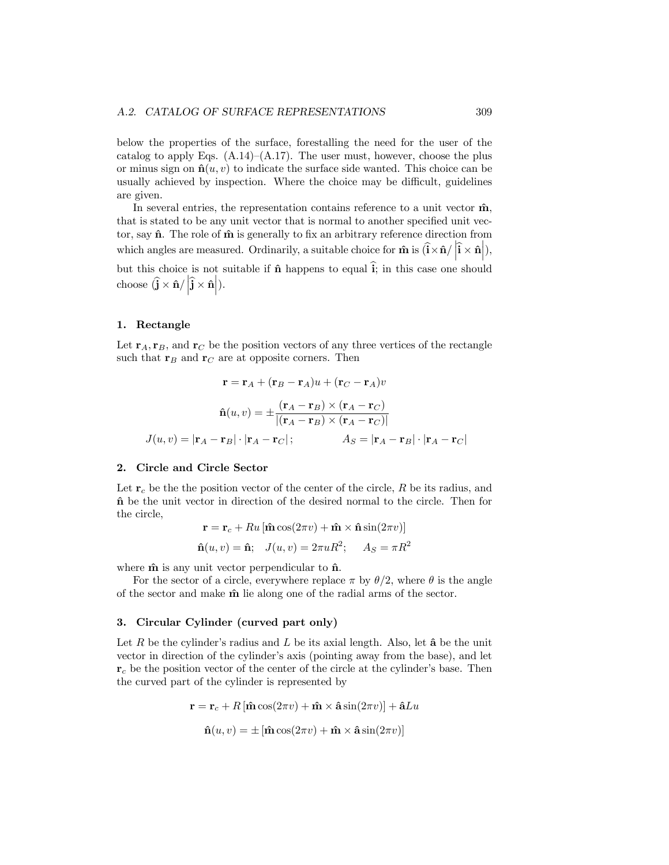below the properties of the surface, forestalling the need for the user of the catalog to apply Eqs.  $(A.14)$ – $(A.17)$ . The user must, however, choose the plus or minus sign on  $\hat{\mathbf{n}}(u, v)$  to indicate the surface side wanted. This choice can be usually achieved by inspection. Where the choice may be difficult, guidelines are given.

In several entries, the representation contains reference to a unit vector  $\hat{\mathbf{m}}$ , that is stated to be any unit vector that is normal to another specified unit vector, say  $\hat{\mathbf{n}}$ . The role of  $\hat{\mathbf{m}}$  is generally to fix an arbitrary reference direction from which angles are measured. Ordinarily, a suitable choice for  $\hat{\mathbf{n}}$  is  $\hat{\mathbf{i}} \times \hat{\mathbf{n}} / |\hat{\mathbf{i}} \times \hat{\mathbf{n}}|$ , but this choice is not suitable if  $\hat{\mathbf{n}}$  happens to equal  $\hat{\mathbf{i}}$ ; in this case one should choose  $\left(\hat{\mathbf{j}} \times \hat{\mathbf{n}} / \left| \hat{\mathbf{j}} \times \hat{\mathbf{n}} \right| \right)$ .

### 1. Rectangle

Let  $\mathbf{r}_A, \mathbf{r}_B$ , and  $\mathbf{r}_C$  be the position vectors of any three vertices of the rectangle such that  $\mathbf{r}_B$  and  $\mathbf{r}_C$  are at opposite corners. Then

$$
\mathbf{r} = \mathbf{r}_A + (\mathbf{r}_B - \mathbf{r}_A)u + (\mathbf{r}_C - \mathbf{r}_A)v
$$

$$
\hat{\mathbf{n}}(u, v) = \pm \frac{(\mathbf{r}_A - \mathbf{r}_B) \times (\mathbf{r}_A - \mathbf{r}_C)}{|(\mathbf{r}_A - \mathbf{r}_B) \times (\mathbf{r}_A - \mathbf{r}_C)|}
$$

$$
J(u, v) = |\mathbf{r}_A - \mathbf{r}_B| \cdot |\mathbf{r}_A - \mathbf{r}_C| \, ; \qquad A_S = |\mathbf{r}_A - \mathbf{r}_B| \cdot |\mathbf{r}_A - \mathbf{r}_C|
$$

### 2. Circle and Circle Sector

Let  $r_c$  be the the position vector of the center of the circle, R be its radius, and nˆ be the unit vector in direction of the desired normal to the circle. Then for the circle,

$$
\mathbf{r} = \mathbf{r}_c + Ru\left[\hat{\mathbf{m}}\cos(2\pi v) + \hat{\mathbf{m}} \times \hat{\mathbf{n}}\sin(2\pi v)\right]
$$

$$
\hat{\mathbf{n}}(u, v) = \hat{\mathbf{n}}; \quad J(u, v) = 2\pi u R^2; \quad A_S = \pi R^2
$$

where  $\hat{\mathbf{m}}$  is any unit vector perpendicular to  $\hat{\mathbf{n}}$ .

For the sector of a circle, everywhere replace  $\pi$  by  $\theta/2$ , where  $\theta$  is the angle of the sector and make  $\hat{\mathbf{m}}$  lie along one of the radial arms of the sector.

#### 3. Circular Cylinder (curved part only)

Let R be the cylinder's radius and L be its axial length. Also, let  $\hat{a}$  be the unit vector in direction of the cylinder's axis (pointing away from the base), and let  $r_c$  be the position vector of the center of the circle at the cylinder's base. Then the curved part of the cylinder is represented by

$$
\mathbf{r} = \mathbf{r}_c + R[\hat{\mathbf{m}}\cos(2\pi v) + \hat{\mathbf{m}} \times \hat{\mathbf{a}}\sin(2\pi v)] + \hat{\mathbf{a}}Lu
$$

$$
\hat{\mathbf{n}}(u, v) = \pm [\hat{\mathbf{m}}\cos(2\pi v) + \hat{\mathbf{m}} \times \hat{\mathbf{a}}\sin(2\pi v)]
$$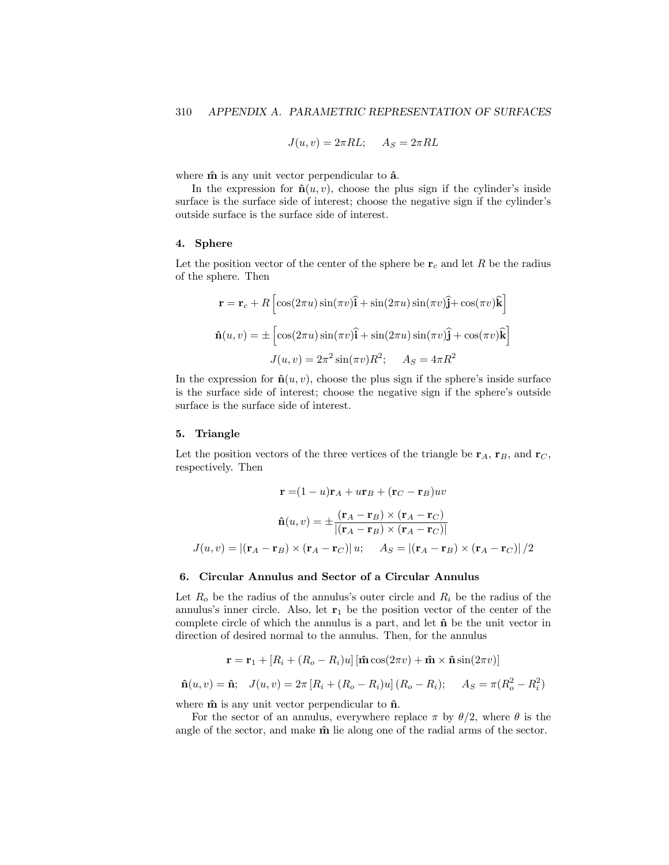$$
J(u, v) = 2\pi R L; \quad A_S = 2\pi R L
$$

where  $\hat{\mathbf{m}}$  is any unit vector perpendicular to  $\hat{\mathbf{a}}$ .

In the expression for  $\hat{\mathbf{n}}(u, v)$ , choose the plus sign if the cylinder's inside surface is the surface side of interest; choose the negative sign if the cylinder's outside surface is the surface side of interest.

### 4. Sphere

Let the position vector of the center of the sphere be  $r_c$  and let R be the radius of the sphere. Then

$$
\mathbf{r} = \mathbf{r}_c + R \left[ \cos(2\pi u) \sin(\pi v) \hat{\mathbf{i}} + \sin(2\pi u) \sin(\pi v) \hat{\mathbf{j}} + \cos(\pi v) \hat{\mathbf{k}} \right]
$$

$$
\hat{\mathbf{n}}(u, v) = \pm \left[ \cos(2\pi u) \sin(\pi v) \hat{\mathbf{i}} + \sin(2\pi u) \sin(\pi v) \hat{\mathbf{j}} + \cos(\pi v) \hat{\mathbf{k}} \right]
$$

$$
J(u, v) = 2\pi^2 \sin(\pi v) R^2; \quad A_S = 4\pi R^2
$$

In the expression for  $\hat{\mathbf{n}}(u, v)$ , choose the plus sign if the sphere's inside surface is the surface side of interest; choose the negative sign if the sphere's outside surface is the surface side of interest.

### 5. Triangle

Let the position vectors of the three vertices of the triangle be  $r_A$ ,  $r_B$ , and  $r_C$ , respectively. Then

$$
\mathbf{r} = (1 - u)\mathbf{r}_A + u\mathbf{r}_B + (\mathbf{r}_C - \mathbf{r}_B)uv
$$

$$
\hat{\mathbf{n}}(u, v) = \pm \frac{(\mathbf{r}_A - \mathbf{r}_B) \times (\mathbf{r}_A - \mathbf{r}_C)}{|(\mathbf{r}_A - \mathbf{r}_B) \times (\mathbf{r}_A - \mathbf{r}_C)|}
$$

$$
J(u, v) = |(\mathbf{r}_A - \mathbf{r}_B) \times (\mathbf{r}_A - \mathbf{r}_C)| u; \quad A_S = |(\mathbf{r}_A - \mathbf{r}_B) \times (\mathbf{r}_A - \mathbf{r}_C)|/2
$$

#### 6. Circular Annulus and Sector of a Circular Annulus

Let  $R_o$  be the radius of the annulus's outer circle and  $R_i$  be the radius of the annulus's inner circle. Also, let  $r_1$  be the position vector of the center of the complete circle of which the annulus is a part, and let  $\hat{\mathbf{n}}$  be the unit vector in direction of desired normal to the annulus. Then, for the annulus

$$
\mathbf{r} = \mathbf{r}_1 + [R_i + (R_o - R_i)u] [\hat{\mathbf{m}} \cos(2\pi v) + \hat{\mathbf{m}} \times \hat{\mathbf{n}} \sin(2\pi v)]
$$

$$
\hat{\mathbf{n}}(u, v) = \hat{\mathbf{n}}; \quad J(u, v) = 2\pi [R_i + (R_o - R_i)u] (R_o - R_i); \quad A_S = \pi (R_o^2 - R_i^2)
$$

where  $\hat{\mathbf{m}}$  is any unit vector perpendicular to  $\hat{\mathbf{n}}$ .

For the sector of an annulus, everywhere replace  $\pi$  by  $\theta/2$ , where  $\theta$  is the angle of the sector, and make  $\hat{\mathbf{m}}$  lie along one of the radial arms of the sector.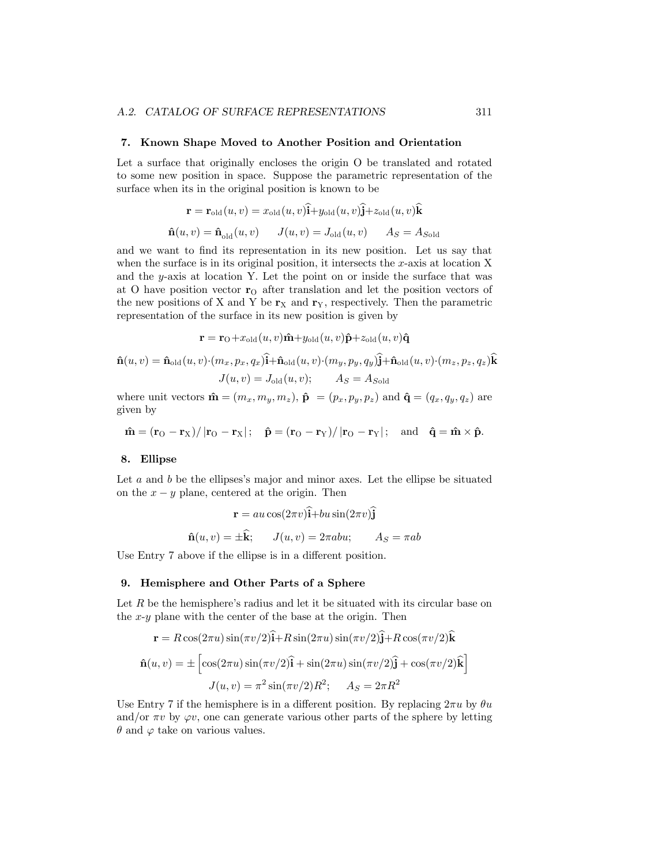#### 7. Known Shape Moved to Another Position and Orientation

Let a surface that originally encloses the origin O be translated and rotated to some new position in space. Suppose the parametric representation of the surface when its in the original position is known to be

$$
\mathbf{r} = \mathbf{r}_{old}(u, v) = x_{old}(u, v)\mathbf{i} + y_{old}(u, v)\mathbf{j} + z_{old}(u, v)\mathbf{k}
$$

$$
\hat{\mathbf{n}}(u, v) = \hat{\mathbf{n}}_{old}(u, v) \qquad J(u, v) = J_{old}(u, v) \qquad A_S = A_{Sold}
$$

and we want to find its representation in its new position. Let us say that when the surface is in its original position, it intersects the  $x$ -axis at location X and the y-axis at location Y. Let the point on or inside the surface that was at O have position vector  $r_0$  after translation and let the position vectors of the new positions of X and Y be  $r_X$  and  $r_Y$ , respectively. Then the parametric representation of the surface in its new position is given by

$$
\mathbf{r} = \mathbf{r}_{\text{O}} + x_{\text{old}}(u, v)\hat{\mathbf{n}} + y_{\text{old}}(u, v)\hat{\mathbf{p}} + z_{\text{old}}(u, v)\hat{\mathbf{q}}
$$

$$
\hat{\mathbf{n}}(u, v) = \hat{\mathbf{n}}_{\text{old}}(u, v) \cdot (m_x, p_x, q_x)\hat{\mathbf{i}} + \hat{\mathbf{n}}_{\text{old}}(u, v) \cdot (m_y, p_y, q_y)\hat{\mathbf{j}} + \hat{\mathbf{n}}_{\text{old}}(u, v) \cdot (m_z, p_z, q_z)\hat{\mathbf{k}}
$$

$$
J(u, v) = J_{\text{old}}(u, v); \qquad A_S = A_{\text{Sold}}
$$

where unit vectors  $\hat{\mathbf{m}} = (m_x, m_y, m_z)$ ,  $\hat{\mathbf{p}} = (p_x, p_y, p_z)$  and  $\hat{\mathbf{q}} = (q_x, q_y, q_z)$  are given by

$$
\hat{\mathbf{m}} = (\mathbf{r}_O - \mathbf{r}_X)/\left|\mathbf{r}_O - \mathbf{r}_X\right|; \quad \hat{\mathbf{p}} = (\mathbf{r}_O - \mathbf{r}_Y)/\left|\mathbf{r}_O - \mathbf{r}_Y\right|; \quad \text{and} \quad \hat{\mathbf{q}} = \hat{\mathbf{m}} \times \hat{\mathbf{p}}.
$$

### 8. Ellipse

Let  $a$  and  $b$  be the ellipses's major and minor axes. Let the ellipse be situated on the  $x - y$  plane, centered at the origin. Then

$$
\mathbf{r} = au\cos(2\pi v)\hat{\mathbf{i}} + bu\sin(2\pi v)\hat{\mathbf{j}}
$$

$$
\hat{\mathbf{n}}(u, v) = \pm \hat{\mathbf{k}}; \qquad J(u, v) = 2\pi abu; \qquad A_S = \pi ab
$$

Use Entry 7 above if the ellipse is in a different position.

### 9. Hemisphere and Other Parts of a Sphere

Let  $R$  be the hemisphere's radius and let it be situated with its circular base on the x-y plane with the center of the base at the origin. Then

$$
\mathbf{r} = R\cos(2\pi u)\sin(\pi v/2)\hat{\mathbf{i}} + R\sin(2\pi u)\sin(\pi v/2)\hat{\mathbf{j}} + R\cos(\pi v/2)\hat{\mathbf{k}}
$$

$$
\hat{\mathbf{n}}(u, v) = \pm \left[\cos(2\pi u)\sin(\pi v/2)\hat{\mathbf{i}} + \sin(2\pi u)\sin(\pi v/2)\hat{\mathbf{j}} + \cos(\pi v/2)\hat{\mathbf{k}}\right]
$$

$$
J(u, v) = \pi^2\sin(\pi v/2)R^2; \quad A_S = 2\pi R^2
$$

Use Entry 7 if the hemisphere is in a different position. By replacing  $2\pi u$  by  $\theta u$ and/or  $\pi v$  by  $\varphi v$ , one can generate various other parts of the sphere by letting  $\theta$  and  $\varphi$  take on various values.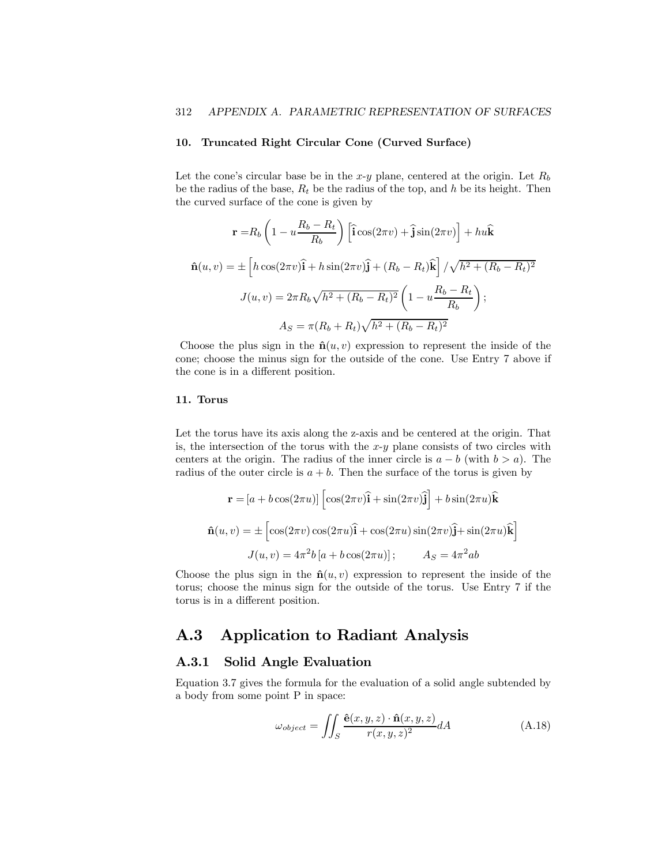### 10. Truncated Right Circular Cone (Curved Surface)

Let the cone's circular base be in the x-y plane, centered at the origin. Let  $R_b$ be the radius of the base,  $R_t$  be the radius of the top, and h be its height. Then the curved surface of the cone is given by

$$
\mathbf{r} = R_b \left( 1 - u \frac{R_b - R_t}{R_b} \right) \left[ \hat{\mathbf{i}} \cos(2\pi v) + \hat{\mathbf{j}} \sin(2\pi v) \right] + hu \hat{\mathbf{k}}
$$
  

$$
\hat{\mathbf{n}}(u, v) = \pm \left[ h \cos(2\pi v) \hat{\mathbf{i}} + h \sin(2\pi v) \hat{\mathbf{j}} + (R_b - R_t) \hat{\mathbf{k}} \right] / \sqrt{h^2 + (R_b - R_t)^2}
$$
  

$$
J(u, v) = 2\pi R_b \sqrt{h^2 + (R_b - R_t)^2} \left( 1 - u \frac{R_b - R_t}{R_b} \right);
$$
  

$$
A_S = \pi (R_b + R_t) \sqrt{h^2 + (R_b - R_t)^2}
$$

Choose the plus sign in the  $\hat{\mathbf{n}}(u, v)$  expression to represent the inside of the cone; choose the minus sign for the outside of the cone. Use Entry 7 above if the cone is in a different position.

### 11. Torus

Let the torus have its axis along the z-axis and be centered at the origin. That is, the intersection of the torus with the  $x-y$  plane consists of two circles with centers at the origin. The radius of the inner circle is  $a - b$  (with  $b > a$ ). The radius of the outer circle is  $a + b$ . Then the surface of the torus is given by

$$
\mathbf{r} = [a + b\cos(2\pi u)] \left[ \cos(2\pi v)\hat{\mathbf{i}} + \sin(2\pi v)\hat{\mathbf{j}} \right] + b\sin(2\pi u)\hat{\mathbf{k}}
$$

$$
\hat{\mathbf{n}}(u, v) = \pm \left[ \cos(2\pi v)\cos(2\pi u)\hat{\mathbf{i}} + \cos(2\pi u)\sin(2\pi v)\hat{\mathbf{j}} + \sin(2\pi u)\hat{\mathbf{k}} \right]
$$

$$
J(u, v) = 4\pi^2 b \left[ a + b\cos(2\pi u) \right]; \qquad A_S = 4\pi^2 ab
$$

Choose the plus sign in the  $\hat{\mathbf{n}}(u, v)$  expression to represent the inside of the torus; choose the minus sign for the outside of the torus. Use Entry 7 if the torus is in a different position.

### A.3 Application to Radiant Analysis

### A.3.1 Solid Angle Evaluation

Equation 3.7 gives the formula for the evaluation of a solid angle subtended by a body from some point P in space:

$$
\omega_{object} = \iint_{S} \frac{\hat{\mathbf{e}}(x, y, z) \cdot \hat{\mathbf{n}}(x, y, z)}{r(x, y, z)^2} dA \tag{A.18}
$$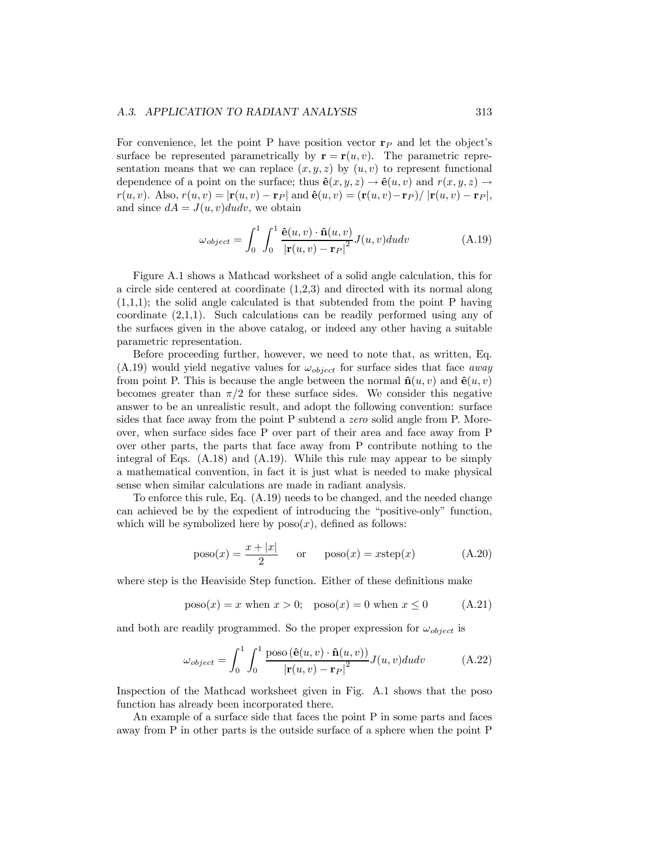#### A.3. APPLICATION TO RADIANT ANALYSIS 313

For convenience, let the point P have position vector  $\mathbf{r}_P$  and let the object's surface be represented parametrically by  $\mathbf{r} = \mathbf{r}(u, v)$ . The parametric representation means that we can replace  $(x, y, z)$  by  $(u, v)$  to represent functional dependence of a point on the surface; thus  $\hat{\mathbf{e}}(x, y, z) \rightarrow \hat{\mathbf{e}}(u, v)$  and  $r(x, y, z) \rightarrow$  $r(u, v)$ . Also,  $r(u, v) = |\mathbf{r}(u, v) - \mathbf{r}_P|$  and  $\hat{\mathbf{e}}(u, v) = (\mathbf{r}(u, v) - \mathbf{r}_P) / |\mathbf{r}(u, v) - \mathbf{r}_P|$ , and since  $dA = J(u, v)dudv$ , we obtain

$$
\omega_{object} = \int_0^1 \int_0^1 \frac{\hat{\mathbf{e}}(u, v) \cdot \hat{\mathbf{n}}(u, v)}{|\mathbf{r}(u, v) - \mathbf{r}_P|^2} J(u, v) du dv \tag{A.19}
$$

Figure A.1 shows a Mathcad worksheet of a solid angle calculation, this for a circle side centered at coordinate (1,2,3) and directed with its normal along  $(1,1,1)$ ; the solid angle calculated is that subtended from the point P having coordinate (2,1,1). Such calculations can be readily performed using any of the surfaces given in the above catalog, or indeed any other having a suitable parametric representation.

Before proceeding further, however, we need to note that, as written, Eq.  $(A.19)$  would yield negative values for  $\omega_{object}$  for surface sides that face *away* from point P. This is because the angle between the normal  $\hat{\mathbf{n}}(u, v)$  and  $\hat{\mathbf{e}}(u, v)$ becomes greater than  $\pi/2$  for these surface sides. We consider this negative answer to be an unrealistic result, and adopt the following convention: surface sides that face away from the point P subtend a zero solid angle from P. Moreover, when surface sides face P over part of their area and face away from P over other parts, the parts that face away from P contribute nothing to the integral of Eqs.  $(A.18)$  and  $(A.19)$ . While this rule may appear to be simply a mathematical convention, in fact it is just what is needed to make physical sense when similar calculations are made in radiant analysis.

To enforce this rule, Eq. (A.19) needs to be changed, and the needed change can achieved be by the expedient of introducing the "positive-only" function, which will be symbolized here by  $poso(x)$ , defined as follows:

$$
poso(x) = \frac{x + |x|}{2} \quad \text{or} \quad poso(x) = xstep(x) \tag{A.20}
$$

where step is the Heaviside Step function. Either of these definitions make

$$
poso(x) = x
$$
 when  $x > 0$ ;  $poso(x) = 0$  when  $x \le 0$  (A.21)

and both are readily programmed. So the proper expression for  $\omega_{object}$  is

$$
\omega_{object} = \int_0^1 \int_0^1 \frac{\text{poso}(\hat{\mathbf{e}}(u, v) \cdot \hat{\mathbf{n}}(u, v))}{|\mathbf{r}(u, v) - \mathbf{r}_P|^2} J(u, v) du dv \tag{A.22}
$$

Inspection of the Mathcad worksheet given in Fig. A.1 shows that the poso function has already been incorporated there.

An example of a surface side that faces the point P in some parts and faces away from P in other parts is the outside surface of a sphere when the point P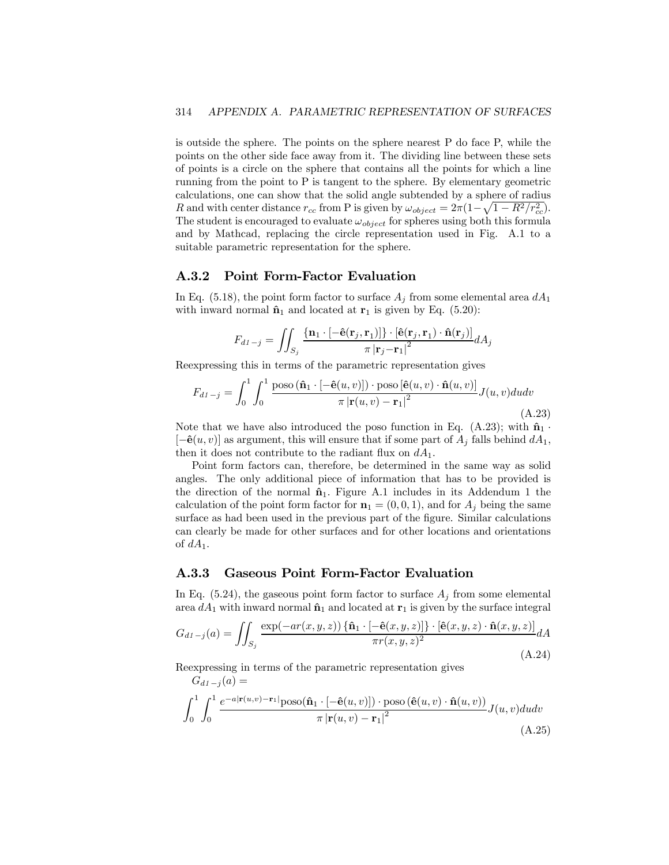is outside the sphere. The points on the sphere nearest P do face P, while the points on the other side face away from it. The dividing line between these sets of points is a circle on the sphere that contains all the points for which a line running from the point to P is tangent to the sphere. By elementary geometric calculations, one can show that the solid angle subtended by a sphere of radius R and with center distance  $r_{cc}$  from P is given by  $\omega_{object} = 2\pi (1 - \sqrt{1 - R^2/r_{cc}^2})$ . The student is encouraged to evaluate  $\omega_{object}$  for spheres using both this formula and by Mathcad, replacing the circle representation used in Fig. A.1 to a suitable parametric representation for the sphere.

### A.3.2 Point Form-Factor Evaluation

In Eq. (5.18), the point form factor to surface  $A_j$  from some elemental area  $dA_1$ with inward normal  $\hat{\mathbf{n}}_1$  and located at  $\mathbf{r}_1$  is given by Eq. (5.20):

$$
F_{d1-j} = \iint_{S_j} \frac{\{\mathbf{n}_1 \cdot [-\hat{\mathbf{e}}(\mathbf{r}_j, \mathbf{r}_1)]\} \cdot [\hat{\mathbf{e}}(\mathbf{r}_j, \mathbf{r}_1) \cdot \hat{\mathbf{n}}(\mathbf{r}_j)]}{\pi |\mathbf{r}_j - \mathbf{r}_1|^2} dA_j
$$

Reexpressing this in terms of the parametric representation gives

$$
F_{d1-j} = \int_0^1 \int_0^1 \frac{\text{poso}(\hat{\mathbf{n}}_1 \cdot [-\hat{\mathbf{e}}(u,v)]) \cdot \text{poso}[\hat{\mathbf{e}}(u,v) \cdot \hat{\mathbf{n}}(u,v)]}{\pi |\mathbf{r}(u,v) - \mathbf{r}_1|^2} J(u,v) du dv
$$
\n(A.23)

Note that we have also introduced the poso function in Eq. (A.23); with  $\hat{\mathbf{n}}_1$ .  $[-\hat{\mathbf{e}}(u, v)]$  as argument, this will ensure that if some part of  $A_i$  falls behind  $dA_1$ , then it does not contribute to the radiant flux on  $dA_1$ .

Point form factors can, therefore, be determined in the same way as solid angles. The only additional piece of information that has to be provided is the direction of the normal  $\hat{\mathbf{n}}_1$ . Figure A.1 includes in its Addendum 1 the calculation of the point form factor for  $\mathbf{n}_1 = (0, 0, 1)$ , and for  $A_i$  being the same surface as had been used in the previous part of the figure. Similar calculations can clearly be made for other surfaces and for other locations and orientations of  $dA_1$ .

### A.3.3 Gaseous Point Form-Factor Evaluation

In Eq. (5.24), the gaseous point form factor to surface  $A_j$  from some elemental area  $dA_1$  with inward normal  $\hat{\mathbf{n}}_1$  and located at  $\mathbf{r}_1$  is given by the surface integral

$$
G_{d1-j}(a) = \iint_{S_j} \frac{\exp(-ar(x, y, z)) \left\{ \hat{\mathbf{n}}_1 \cdot \left[ -\hat{\mathbf{e}}(x, y, z) \right] \right\} \cdot \left[ \hat{\mathbf{e}}(x, y, z) \cdot \hat{\mathbf{n}}(x, y, z) \right]}{\pi r(x, y, z)^2} dA
$$
\n(A.24)

Reexpressing in terms of the parametric representation gives

 $G_{d1-j}(a) =$ 

$$
\int_0^1 \int_0^1 \frac{e^{-a|\mathbf{r}(u,v) - \mathbf{r}_1|} \text{poso}(\hat{\mathbf{n}}_1 \cdot [-\hat{\mathbf{e}}(u,v)]) \cdot \text{poso}(\hat{\mathbf{e}}(u,v) \cdot \hat{\mathbf{n}}(u,v))}{\pi |\mathbf{r}(u,v) - \mathbf{r}_1|^2} J(u,v) du dv
$$
\n(A.25)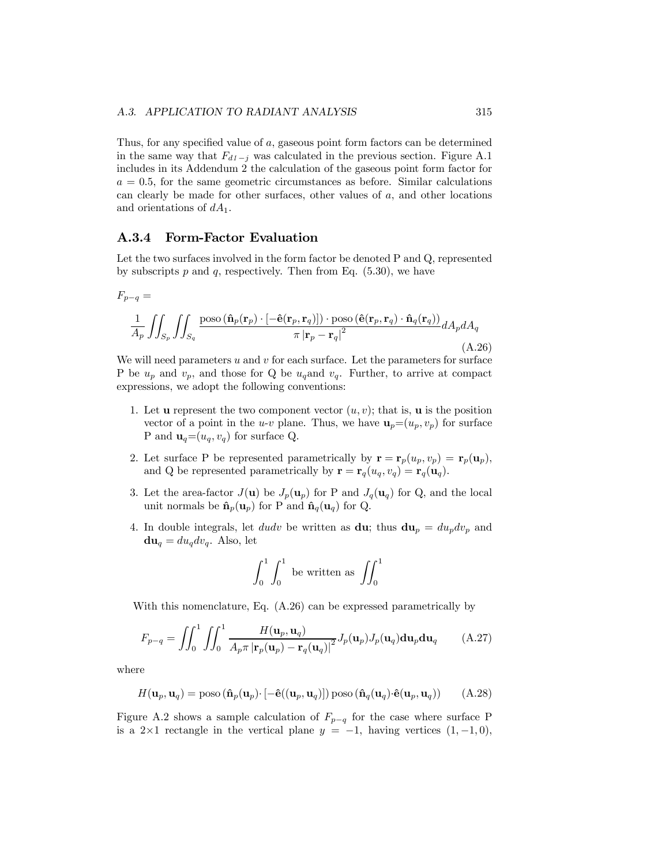Thus, for any specified value of a, gaseous point form factors can be determined in the same way that  $F_{d1-j}$  was calculated in the previous section. Figure A.1 includes in its Addendum 2 the calculation of the gaseous point form factor for  $a = 0.5$ , for the same geometric circumstances as before. Similar calculations can clearly be made for other surfaces, other values of a, and other locations and orientations of  $dA_1$ .

### A.3.4 Form-Factor Evaluation

Let the two surfaces involved in the form factor be denoted P and Q, represented by subscripts  $p$  and  $q$ , respectively. Then from Eq. (5.30), we have

$$
F_{p-q} = \frac{1}{A_p} \iint_{S_p} \iint_{S_q} \frac{\text{poso}(\hat{\mathbf{n}}_p(\mathbf{r}_p) \cdot [-\hat{\mathbf{e}}(\mathbf{r}_p, \mathbf{r}_q)]) \cdot \text{poso}(\hat{\mathbf{e}}(\mathbf{r}_p, \mathbf{r}_q) \cdot \hat{\mathbf{n}}_q(\mathbf{r}_q))}{\pi |\mathbf{r}_p - \mathbf{r}_q|^2} dA_p dA_q
$$
(A.26)

We will need parameters  $u$  and  $v$  for each surface. Let the parameters for surface P be  $u_p$  and  $v_p$ , and those for Q be  $u_q$  and  $v_q$ . Further, to arrive at compact expressions, we adopt the following conventions:

- 1. Let **u** represent the two component vector  $(u, v)$ ; that is, **u** is the position vector of a point in the *u-v* plane. Thus, we have  $\mathbf{u}_p=(u_p, v_p)$  for surface P and  $\mathbf{u}_q = (u_q, v_q)$  for surface Q.
- 2. Let surface P be represented parametrically by  $\mathbf{r} = \mathbf{r}_p(u_p, v_p) = \mathbf{r}_p(\mathbf{u}_p)$ , and Q be represented parametrically by  $\mathbf{r} = \mathbf{r}_q(u_q, v_q) = \mathbf{r}_q(\mathbf{u}_q)$ .
- 3. Let the area-factor  $J(\mathbf{u})$  be  $J_p(\mathbf{u}_p)$  for P and  $J_q(\mathbf{u}_q)$  for Q, and the local unit normals be  $\hat{\mathbf{n}}_p(\mathbf{u}_p)$  for P and  $\hat{\mathbf{n}}_q(\mathbf{u}_q)$  for Q.
- 4. In double integrals, let *dudv* be written as **du**; thus  $du_p = du_p dv_p$  and  $du_q = du_q dv_q$ . Also, let

$$
\int_0^1 \int_0^1 \text{ be written as } \iint_0^1
$$

With this nomenclature, Eq. (A.26) can be expressed parametrically by

$$
F_{p-q} = \iint_0^1 \iint_0^1 \frac{H(\mathbf{u}_p, \mathbf{u}_q)}{A_p \pi |\mathbf{r}_p(\mathbf{u}_p) - \mathbf{r}_q(\mathbf{u}_q)|^2} J_p(\mathbf{u}_p) J_p(\mathbf{u}_q) d\mathbf{u}_p d\mathbf{u}_q \qquad (A.27)
$$

where

$$
H(\mathbf{u}_p, \mathbf{u}_q) = \text{poso}(\hat{\mathbf{n}}_p(\mathbf{u}_p) \cdot [-\hat{\mathbf{e}}((\mathbf{u}_p, \mathbf{u}_q)]) \text{poso}(\hat{\mathbf{n}}_q(\mathbf{u}_q) \cdot \hat{\mathbf{e}}(\mathbf{u}_p, \mathbf{u}_q))
$$
(A.28)

Figure A.2 shows a sample calculation of  $F_{p-q}$  for the case where surface P is a 2×1 rectangle in the vertical plane  $y = -1$ , having vertices  $(1, -1, 0)$ ,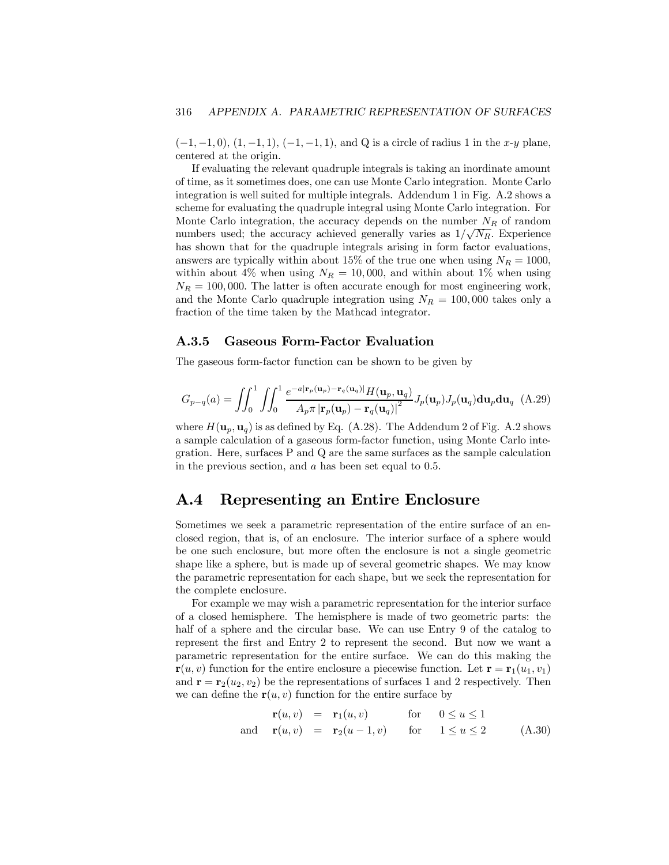$(-1, -1, 0), (1, -1, 1), (-1, -1, 1),$  and Q is a circle of radius 1 in the x-y plane, centered at the origin.

If evaluating the relevant quadruple integrals is taking an inordinate amount of time, as it sometimes does, one can use Monte Carlo integration. Monte Carlo integration is well suited for multiple integrals. Addendum 1 in Fig. A.2 shows a scheme for evaluating the quadruple integral using Monte Carlo integration. For Monte Carlo integration, the accuracy depends on the number  $N_R$  of random numbers used; the accuracy achieved generally varies as  $1/\sqrt{N_R}$ . Experience has shown that for the quadruple integrals arising in form factor evaluations, answers are typically within about 15% of the true one when using  $N_R = 1000$ , within about 4% when using  $N_R = 10,000$ , and within about 1% when using  $N_R = 100,000$ . The latter is often accurate enough for most engineering work, and the Monte Carlo quadruple integration using  $N_R = 100,000$  takes only a fraction of the time taken by the Mathcad integrator.

### A.3.5 Gaseous Form-Factor Evaluation

The gaseous form-factor function can be shown to be given by

$$
G_{p-q}(a) = \iint_0^1 \iint_0^1 \frac{e^{-a|\mathbf{r}_p(\mathbf{u}_p) - \mathbf{r}_q(\mathbf{u}_q)|} H(\mathbf{u}_p, \mathbf{u}_q)}{A_p \pi |\mathbf{r}_p(\mathbf{u}_p) - \mathbf{r}_q(\mathbf{u}_q)|^2} J_p(\mathbf{u}_p) J_p(\mathbf{u}_q) d\mathbf{u}_p d\mathbf{u}_q
$$
 (A.29)

where  $H(\mathbf{u}_p, \mathbf{u}_q)$  is as defined by Eq. (A.28). The Addendum 2 of Fig. A.2 shows a sample calculation of a gaseous form-factor function, using Monte Carlo integration. Here, surfaces P and Q are the same surfaces as the sample calculation in the previous section, and a has been set equal to 0.5.

### A.4 Representing an Entire Enclosure

Sometimes we seek a parametric representation of the entire surface of an enclosed region, that is, of an enclosure. The interior surface of a sphere would be one such enclosure, but more often the enclosure is not a single geometric shape like a sphere, but is made up of several geometric shapes. We may know the parametric representation for each shape, but we seek the representation for the complete enclosure.

For example we may wish a parametric representation for the interior surface of a closed hemisphere. The hemisphere is made of two geometric parts: the half of a sphere and the circular base. We can use Entry 9 of the catalog to represent the first and Entry 2 to represent the second. But now we want a parametric representation for the entire surface. We can do this making the  $\mathbf{r}(u, v)$  function for the entire enclosure a piecewise function. Let  $\mathbf{r} = \mathbf{r}_1(u_1, v_1)$ and  $\mathbf{r} = \mathbf{r}_2(u_2, v_2)$  be the representations of surfaces 1 and 2 respectively. Then we can define the  $r(u, v)$  function for the entire surface by

$$
\mathbf{r}(u, v) = \mathbf{r}_1(u, v) \quad \text{for} \quad 0 \le u \le 1
$$
\n
$$
\mathbf{r}(u, v) = \mathbf{r}_2(u - 1, v) \quad \text{for} \quad 1 \le u \le 2 \quad (A.30)
$$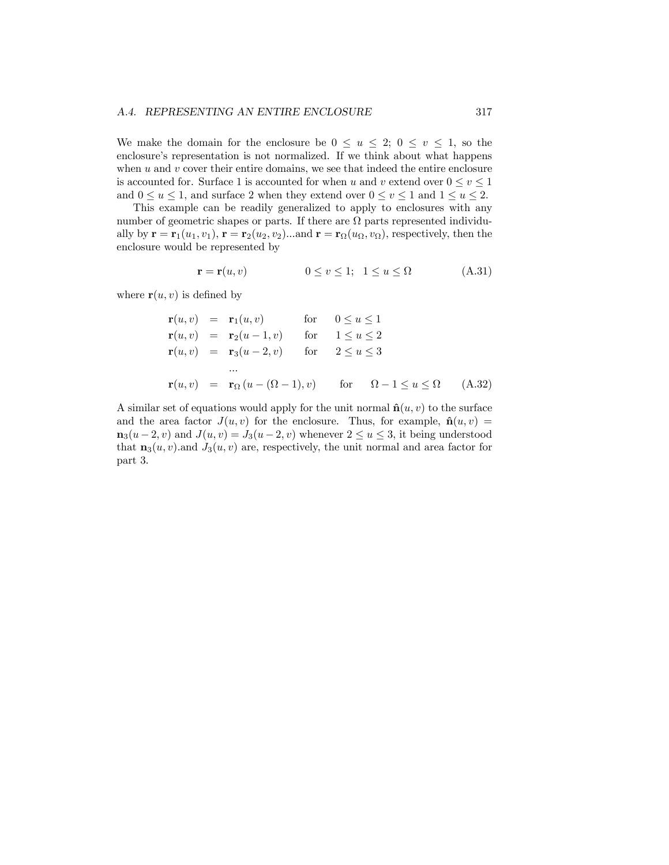We make the domain for the enclosure be  $0 \le u \le 2$ ;  $0 \le v \le 1$ , so the enclosure's representation is not normalized. If we think about what happens when  $u$  and  $v$  cover their entire domains, we see that indeed the entire enclosure is accounted for. Surface 1 is accounted for when u and v extend over  $0 \le v \le 1$ and  $0 \le u \le 1$ , and surface 2 when they extend over  $0 \le v \le 1$  and  $1 \le u \le 2$ .

This example can be readily generalized to apply to enclosures with any number of geometric shapes or parts. If there are  $\Omega$  parts represented individually by  $\mathbf{r} = \mathbf{r}_1(u_1, v_1), \mathbf{r} = \mathbf{r}_2(u_2, v_2) \dots$  and  $\mathbf{r} = \mathbf{r}_\Omega(u_\Omega, v_\Omega)$ , respectively, then the enclosure would be represented by

$$
\mathbf{r} = \mathbf{r}(u, v) \qquad \qquad 0 \le v \le 1; \ \ 1 \le u \le \Omega \qquad (A.31)
$$

where  $\mathbf{r}(u, v)$  is defined by

$$
\mathbf{r}(u, v) = \mathbf{r}_1(u, v) \quad \text{for} \quad 0 \le u \le 1
$$
\n
$$
\mathbf{r}(u, v) = \mathbf{r}_2(u - 1, v) \quad \text{for} \quad 1 \le u \le 2
$$
\n
$$
\mathbf{r}(u, v) = \mathbf{r}_3(u - 2, v) \quad \text{for} \quad 2 \le u \le 3
$$
\n
$$
\dots
$$
\n
$$
\mathbf{r}(u, v) = \mathbf{r}_\Omega(u - (\Omega - 1), v) \quad \text{for} \quad \Omega - 1 \le u \le \Omega \quad (A.32)
$$

A similar set of equations would apply for the unit normal  $\hat{\mathbf{n}}(u, v)$  to the surface and the area factor  $J(u, v)$  for the enclosure. Thus, for example,  $\hat{\mathbf{n}}(u, v)$  =  $\mathbf{n}_3(u-2, v)$  and  $J(u, v) = J_3(u-2, v)$  whenever  $2 \le u \le 3$ , it being understood that  $\mathbf{n}_3(u, v)$  and  $J_3(u, v)$  are, respectively, the unit normal and area factor for part 3.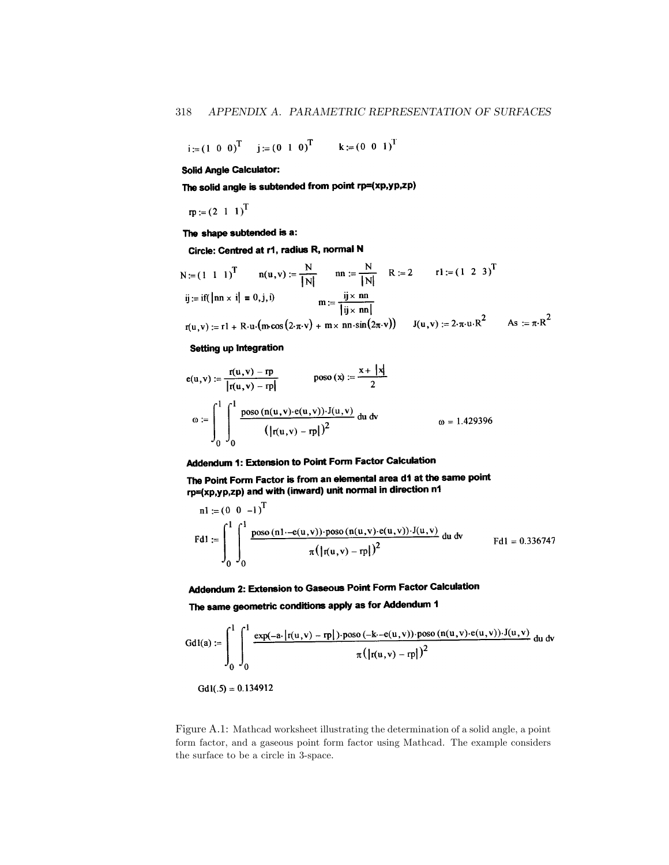$$
i := (1 \ 0 \ 0)^T
$$
  $j := (0 \ 1 \ 0)^T$   $k := (0 \ 0 \ 1)^T$ 

**Solid Angle Calculator:** 

The solid angle is subtended from point rp=(xp,yp,zp)

 $rp := (2 \ 1 \ 1)^T$ 

The shape subtended is a:

Circle: Centred at r1, radius R, normal N

$$
N := (1 \ 1 \ 1)^T \qquad n(u, v) := \frac{N}{|N|} \qquad nn := \frac{N}{|N|} \qquad R := 2 \qquad r1 := (1 \ 2 \ 3)^T
$$
  
\n
$$
ij := if(|nn \times i| = 0, j, i) \qquad m := \frac{ij \times nn}{|ij \times nn|}
$$
  
\n
$$
r(u, v) := r1 + R \cdot u \cdot (m \cos(2 \cdot \pi \cdot v) + m \times nn \cdot \sin(2 \pi \cdot v)) \qquad J(u, v) := 2 \cdot \pi \cdot u \cdot R^2 \qquad As := \pi \cdot R^2
$$

 $\ddot{\phantom{a}}$ 

#### Setting up Integration

$$
e(u, v) := \frac{r(u, v) - rp}{|r(u, v) - rp|} \qquad \text{poso}(x) := \frac{x + |x|}{2}
$$
  

$$
\omega := \int_0^1 \int_0^1 \frac{\text{poso}(n(u, v) \cdot e(u, v)) \cdot J(u, v)}{(|r(u, v) - rp|)^2} du dv \qquad \qquad \omega = 1.429396
$$

### Addendum 1: Extension to Point Form Factor Calculation

The Point Form Factor is from an elemental area d1 at the same point rio f one f one f actor to money and with the formal in direction n1

$$
nl := (0 \t 0 \t -1)^{T}
$$
  
Fd1 := 
$$
\int_{0}^{1} \int_{0}^{1} \frac{\text{poso} (n1 - e(u, v)) \cdot \text{poso} (n(u, v) \cdot e(u, v)) \cdot J(u, v)}{\pi (|\text{r}(u, v) - \text{r}p|)^{2}}
$$
du dv 
$$
Fdl = 0.336747
$$

### Addendum 2: Extension to Gaseous Point Form Factor Calculation

The same geometric conditions apply as for Addendum 1

$$
GdI(a) := \int_0^1 \int_0^1 \frac{\exp(-a \cdot |r(u,v) - rp|) \cdot p\cos(-k \cdot -e(u,v)) \cdot p\cos(n(u,v) \cdot e(u,v)) \cdot J(u,v)}{\pi (|r(u,v) - rp|)^2} \, du \, dv
$$

 $Gd1(.5) = 0.134912$ 

Figure A.1: Mathcad worksheet illustrating the determination of a solid angle, a point form factor, and a gaseous point form factor using Mathcad. The example considers the surface to be a circle in 3-space.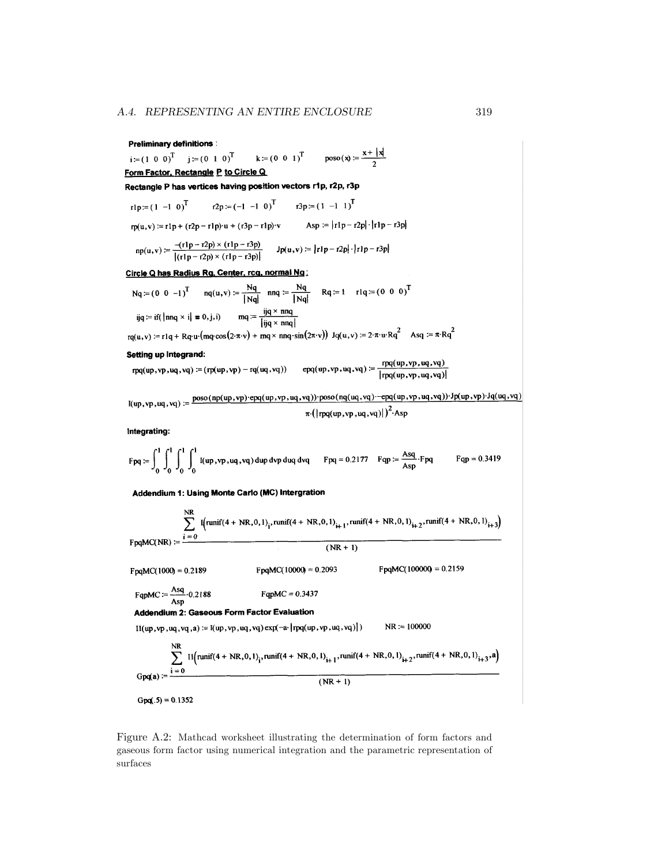### **Preliminary definitions:**

 $\text{poso}(\mathbf{x}) := \frac{\mathbf{x} + |\mathbf{x}|}{2}$  $k := (0 \ 0 \ 1)^T$  $i = (1 \ 0 \ 0)^T$   $i = (0 \ 1 \ 0)^T$ Form Factor, Rectangle P to Circle Q Rectangle P has vertices having position vectors r1p, r2p, r3p

$$
r1p = (1 -1 0)^{T} \t r2p = (-1 -1 0)^{T} \t r3p = (1 -1 1)^{T}
$$
  
\n
$$
r p(u,v) = r1p + (r2p - r1p) \cdot u + (r3p - r1p) \cdot v \t Asp := |r1p - r2p| \cdot |r1p - r3p|
$$
  
\n
$$
n p(u,v) := \frac{-(r1p - r2p) \times (r1p - r3p)}{1 - (1 - r2p)(r1p - r3p)}
$$
  
\n
$$
J p(u,v) := |r1p - r2p| \cdot |r1p - r3p|
$$

$$
np(u,v) := \frac{-(11p-12p) \wedge (11p-13p)}{|(r1p-r2p) \times (r1p-r3p)|} \qquad Jp(u,v) := |r1p-r2p| \cdot |r1p-r3p|
$$

Circle Q has Radius Rg. Center, rcg. normal Ng.

Nq := (0 0 -1)<sup>T</sup> nq(u,v) := 
$$
\frac{Nq}{|Nq|}
$$
 nnq :=  $\frac{Nq}{|Nq|}$  Rq := 1 r1q = (0 0 0)<sup>T</sup>  
ijq := if (lnnq × i| = 0, j, i)  $mq = \frac{ijq × nnq}{|ijq × nnq|}$ 

$$
rq(u,v) := r1q + Rq \cdot u \cdot (mq \cdot cos(2 \cdot \pi \cdot v) + mq \cdot sin(2 \pi \cdot v))
$$
 Jq(u,v) := 2 ⋅ π ⋅ u Rq<sup>2</sup> Asq := π Rq<sup>2</sup>

#### Setting up Integrand:

rpq(up, vp, uq, vq) := (rp(up, vp) - rq(uq, vq))  $epq(up, vp, uq, vq)$  :=  $\frac{rpq(up, vp, uq, vq)}{[rpq(up, vp, uq, vq)]}$ 

$$
I(up,vp,uq,vq):=\frac{poso(np(up,vp)\cdot epq(up,vp,uq,vq))\cdot poso(nq(uq,vq)\cdot -epq(up,vp,uq,vq))\cdot Jp(up,vp)\cdot Jq(uq,vq)}{\pi\cdot\left(\left\vert rap(up,vp,uq,vq)\right\vert\right)^2\cdot Asp}
$$

Integrating:

$$
\text{Fpq} := \int_0^1 \int_0^1 \int_0^1 \int_0^1 \text{I}(\text{up}, \text{vp}, \text{uq}, \text{vq}) \, \text{d}\text{up} \, \text{d}\text{vp} \, \text{d}\text{vq} \, \text{d}\text{vq} \qquad \text{Fpq} = 0.2177 \quad \text{Fqp} := \frac{\text{Asq}}{\text{Asp}} \cdot \text{Fpq} \qquad \text{Fqp} = 0.3419
$$

Addendium 1: Using Monte Carlo (MC) Intergration

| NR                                                                                                                      | NR                                                                     |                         |
|-------------------------------------------------------------------------------------------------------------------------|------------------------------------------------------------------------|-------------------------|
| $FpqMC(1000) = 0.2189$                                                                                                  | $FpqMC(1000) = 0.2189$                                                 |                         |
| $FpqMC(1000) = 0.2189$                                                                                                  | $FpqMC(10000) = 0.2093$                                                | $FpqMC(10000) = 0.2159$ |
| $FqpMC := \frac{Asq}{Asp} \cdot 0.2188$                                                                                 | $FqpMC = 0.3437$                                                       |                         |
| <b>Addendium 2: Gaseous Form Factor Evaluation</b>                                                                      | $II(up,vp,uq,vq,a) := I(up,vp,uq,vq) \exp(-a \cdot [rq(up,vp,uq,vq)])$ | $NR := 100000$          |
| $\frac{NR}{\sum_{i=0}^{NR}} I1[runif(4 + NR,0,1)i, runif(4 + NR,0,1)i+1, runif(4 + NR,0,1)i+2, runif(4 + NR,0,1)i+3,a)$ |                                                                        |                         |
| $Gpq(a) := \frac{i = 0}{(NR + 1)}$                                                                                      |                                                                        |                         |

Figure A.2: Mathcad worksheet illustrating the determination of form factors and gaseous form factor using numerical integration and the parametric representation of surfaces